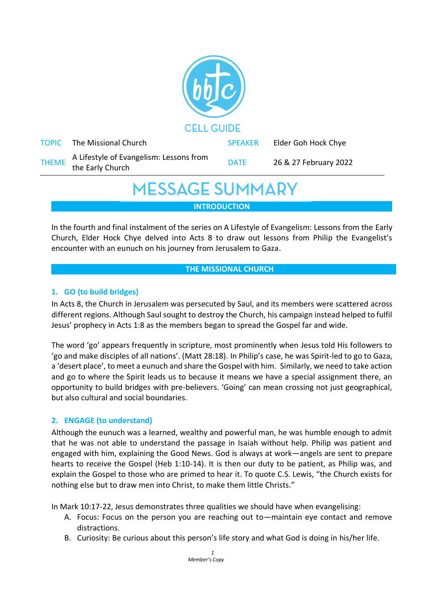

## **MESSAGE SUMMARY**

**INTRODUCTION**

In the fourth and final instalment of the series on A Lifestyle of Evangelism: Lessons from the Early Church, Elder Hock Chye delved into Acts 8 to draw out lessons from Philip the Evangelist's encounter with an eunuch on his journey from Jerusalem to Gaza.

#### **THE MISSIONAL CHURCH**

### **1. GO (to build bridges)**

In Acts 8, the Church in Jerusalem was persecuted by Saul, and its members were scattered across different regions. Although Saul sought to destroy the Church, his campaign instead helped to fulfil Jesus' prophecy in Acts 1:8 as the members began to spread the Gospel far and wide.

The word 'go' appears frequently in scripture, most prominently when Jesus told His followers to 'go and make disciples of all nations'. (Matt 28:18). In Philip's case, he was Spirit-led to go to Gaza, a 'desert place', to meet a eunuch and share the Gospel with him. Similarly, we need to take action and go to where the Spirit leads us to because it means we have a special assignment there, an opportunity to build bridges with pre-believers. 'Going' can mean crossing not just geographical, but also cultural and social boundaries.

#### **2. ENGAGE (to understand)**

Although the eunuch was a learned, wealthy and powerful man, he was humble enough to admit that he was not able to understand the passage in Isaiah without help. Philip was patient and engaged with him, explaining the Good News. God is always at work—angels are sent to prepare hearts to receive the Gospel (Heb 1:10-14). It is then our duty to be patient, as Philip was, and explain the Gospel to those who are primed to hear it. To quote C.S. Lewis, "the Church exists for nothing else but to draw men into Christ, to make them little Christs."

In Mark 10:17-22, Jesus demonstrates three qualities we should have when evangelising:

- A. Focus: Focus on the person you are reaching out to—maintain eye contact and remove distractions.
- B. Curiosity: Be curious about this person's life story and what God is doing in his/her life.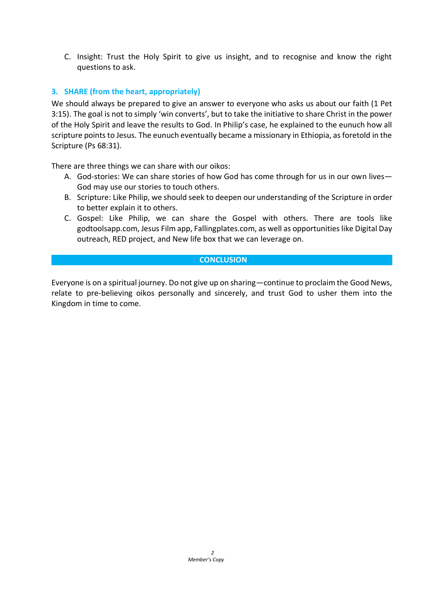C. Insight: Trust the Holy Spirit to give us insight, and to recognise and know the right questions to ask.

#### **3. SHARE (from the heart, appropriately)**

We should always be prepared to give an answer to everyone who asks us about our faith (1 Pet 3:15). The goal is not to simply 'win converts', but to take the initiative to share Christ in the power of the Holy Spirit and leave the results to God. In Philip's case, he explained to the eunuch how all scripture points to Jesus. The eunuch eventually became a missionary in Ethiopia, as foretold in the Scripture (Ps 68:31).

There are three things we can share with our oikos:

- A. God-stories: We can share stories of how God has come through for us in our own lives— God may use our stories to touch others.
- B. Scripture: Like Philip, we should seek to deepen our understanding of the Scripture in order to better explain it to others.
- C. Gospel: Like Philip, we can share the Gospel with others. There are tools like godtoolsapp.com, Jesus Film app, Fallingplates.com, as well as opportunities like Digital Day outreach, RED project, and New life box that we can leverage on.

#### **CONCLUSION**

Everyone is on a spiritual journey. Do not give up on sharing—continue to proclaim the Good News, relate to pre-believing oikos personally and sincerely, and trust God to usher them into the Kingdom in time to come.